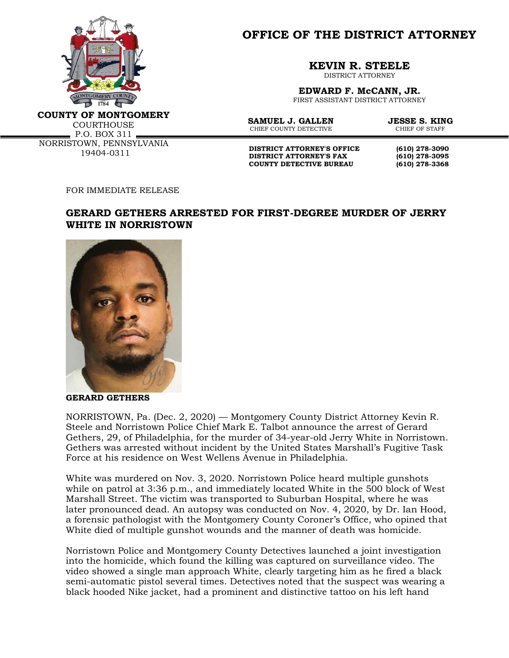

**OFFICE OF THE DISTRICT ATTORNEY**

**KEVIN R. STEELE**

DISTRICT ATTORNEY

**EDWARD F. McCANN, JR.** FIRST ASSISTANT DISTRICT ATTORNEY

**COUNTY OF MONTGOMERY**

**COURTHOUSE** P.O. BOX 311 NORRISTOWN, PENNSYLVANIA 19404-0311

**SAMUEL J. GALLEN JESSE S. KING**<br>CHIER COUNTY DETECTIVE **STALL CHIER OF STARE** CHIEF COUNTY DETECTIVE

**DISTRICT ATTORNEY'S OFFICE (610) 278-3090**<br>**DISTRICT ATTORNEY'S FAX** (610) 278-3095 **DISTRICT ATTORNEY'S FAX COUNTY DETECTIVE BUREAU (610) 278-3368**

FOR IMMEDIATE RELEASE

## **GERARD GETHERS ARRESTED FOR FIRST-DEGREE MURDER OF JERRY WHITE IN NORRISTOWN**



**GERARD GETHERS**

NORRISTOWN, Pa. (Dec. 2, 2020) — Montgomery County District Attorney Kevin R. Steele and Norristown Police Chief Mark E. Talbot announce the arrest of Gerard Gethers, 29, of Philadelphia, for the murder of 34-year-old Jerry White in Norristown. Gethers was arrested without incident by the United States Marshall's Fugitive Task Force at his residence on West Wellens Avenue in Philadelphia.

White was murdered on Nov. 3, 2020. Norristown Police heard multiple gunshots while on patrol at 3:36 p.m., and immediately located White in the 500 block of West Marshall Street. The victim was transported to Suburban Hospital, where he was later pronounced dead. An autopsy was conducted on Nov. 4, 2020, by Dr. Ian Hood, a forensic pathologist with the Montgomery County Coroner's Office, who opined that White died of multiple gunshot wounds and the manner of death was homicide.

Norristown Police and Montgomery County Detectives launched a joint investigation into the homicide, which found the killing was captured on surveillance video. The video showed a single man approach White, clearly targeting him as he fired a black semi-automatic pistol several times. Detectives noted that the suspect was wearing a black hooded Nike jacket, had a prominent and distinctive tattoo on his left hand